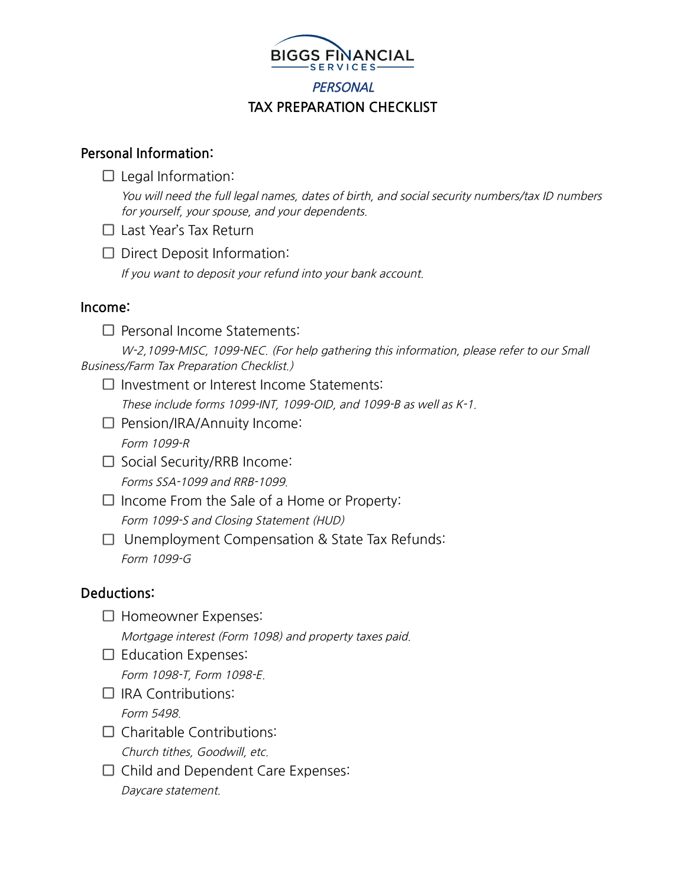

# **PERSONAL TAX PREPARATION CHECKLIST**

## **Personal Information:**

 $\Box$  Legal Information:

You will need the full legal names, dates of birth, and social security numbers/tax ID numbers for yourself, your spouse, and your dependents.

- □ Last Year's Tax Return
- $\Box$  Direct Deposit Information:

If you want to deposit your refund into your bank account.

## **Income:**

 $\square$  Personal Income Statements:

W-2,1099-MISC, 1099-NEC. (For help gathering this information, please refer to our Small Business/Farm Tax Preparation Checklist.)

 $\Box$  Investment or Interest Income Statements:

These include forms 1099-INT, 1099-OID, and 1099-B as well as K-1.

- □ Pension/IRA/Annuity Income: Form 1099-R
- □ Social Security/RRB Income: Forms SSA-1099 and RRB-1099.
- $\Box$  Income From the Sale of a Home or Property: Form 1099-S and Closing Statement (HUD)
- $\Box$  Unemployment Compensation & State Tax Refunds: Form 1099-G

# **Deductions:**

- □ Homeowner Expenses: Mortgage interest (Form 1098) and property taxes paid.
- $\square$  Education Expenses: Form 1098-T, Form 1098-E.
- $\Box$  IRA Contributions: Form 5498.
- $\Box$  Charitable Contributions: Church tithes, Goodwill, etc.
- $\Box$  Child and Dependent Care Expenses: Daycare statement.